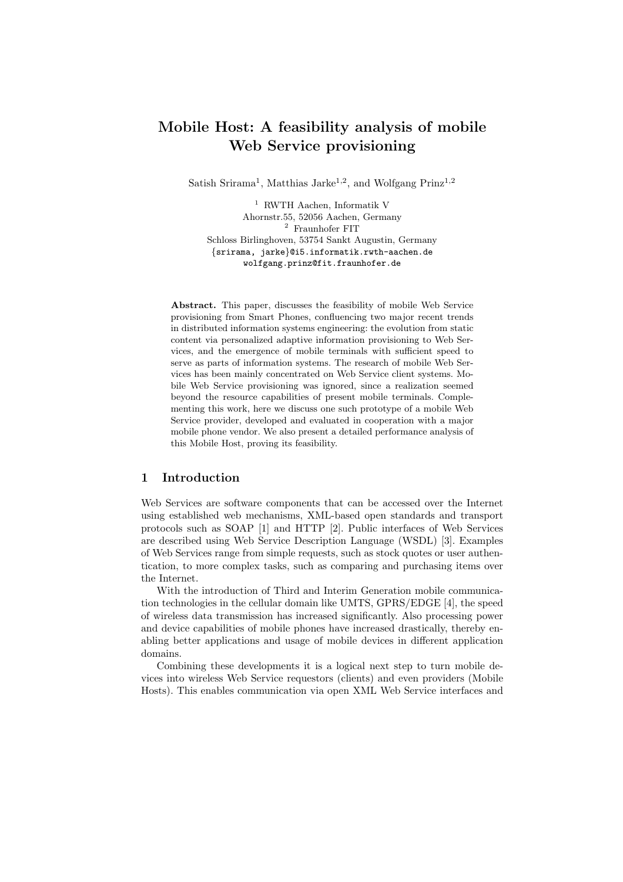# Mobile Host: A feasibility analysis of mobile Web Service provisioning

Satish Srirama<sup>1</sup>, Matthias Jarke<sup>1,2</sup>, and Wolfgang Prinz<sup>1,2</sup>

<sup>1</sup> RWTH Aachen, Informatik V Ahornstr.55, 52056 Aachen, Germany  $^2\,$  Fraunhofer FIT Schloss Birlinghoven, 53754 Sankt Augustin, Germany {srirama, jarke}@i5.informatik.rwth-aachen.de wolfgang.prinz@fit.fraunhofer.de

Abstract. This paper, discusses the feasibility of mobile Web Service provisioning from Smart Phones, confluencing two major recent trends in distributed information systems engineering: the evolution from static content via personalized adaptive information provisioning to Web Services, and the emergence of mobile terminals with sufficient speed to serve as parts of information systems. The research of mobile Web Services has been mainly concentrated on Web Service client systems. Mobile Web Service provisioning was ignored, since a realization seemed beyond the resource capabilities of present mobile terminals. Complementing this work, here we discuss one such prototype of a mobile Web Service provider, developed and evaluated in cooperation with a major mobile phone vendor. We also present a detailed performance analysis of this Mobile Host, proving its feasibility.

# 1 Introduction

Web Services are software components that can be accessed over the Internet using established web mechanisms, XML-based open standards and transport protocols such as SOAP [1] and HTTP [2]. Public interfaces of Web Services are described using Web Service Description Language (WSDL) [3]. Examples of Web Services range from simple requests, such as stock quotes or user authentication, to more complex tasks, such as comparing and purchasing items over the Internet.

With the introduction of Third and Interim Generation mobile communication technologies in the cellular domain like UMTS, GPRS/EDGE [4], the speed of wireless data transmission has increased significantly. Also processing power and device capabilities of mobile phones have increased drastically, thereby enabling better applications and usage of mobile devices in different application domains.

Combining these developments it is a logical next step to turn mobile devices into wireless Web Service requestors (clients) and even providers (Mobile Hosts). This enables communication via open XML Web Service interfaces and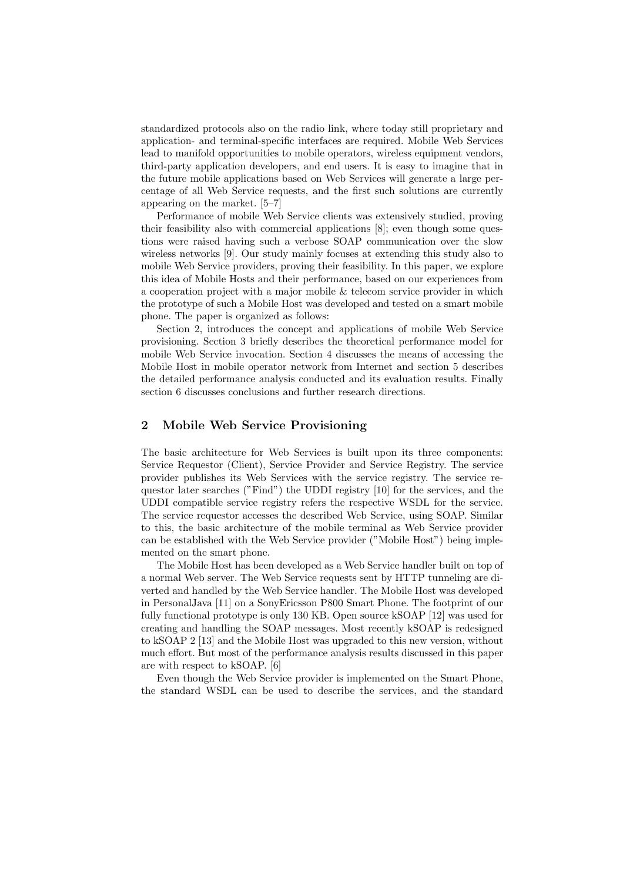standardized protocols also on the radio link, where today still proprietary and application- and terminal-specific interfaces are required. Mobile Web Services lead to manifold opportunities to mobile operators, wireless equipment vendors, third-party application developers, and end users. It is easy to imagine that in the future mobile applications based on Web Services will generate a large percentage of all Web Service requests, and the first such solutions are currently appearing on the market. [5–7]

Performance of mobile Web Service clients was extensively studied, proving their feasibility also with commercial applications [8]; even though some questions were raised having such a verbose SOAP communication over the slow wireless networks [9]. Our study mainly focuses at extending this study also to mobile Web Service providers, proving their feasibility. In this paper, we explore this idea of Mobile Hosts and their performance, based on our experiences from a cooperation project with a major mobile & telecom service provider in which the prototype of such a Mobile Host was developed and tested on a smart mobile phone. The paper is organized as follows:

Section 2, introduces the concept and applications of mobile Web Service provisioning. Section 3 briefly describes the theoretical performance model for mobile Web Service invocation. Section 4 discusses the means of accessing the Mobile Host in mobile operator network from Internet and section 5 describes the detailed performance analysis conducted and its evaluation results. Finally section 6 discusses conclusions and further research directions.

## 2 Mobile Web Service Provisioning

The basic architecture for Web Services is built upon its three components: Service Requestor (Client), Service Provider and Service Registry. The service provider publishes its Web Services with the service registry. The service requestor later searches ("Find") the UDDI registry [10] for the services, and the UDDI compatible service registry refers the respective WSDL for the service. The service requestor accesses the described Web Service, using SOAP. Similar to this, the basic architecture of the mobile terminal as Web Service provider can be established with the Web Service provider ("Mobile Host") being implemented on the smart phone.

The Mobile Host has been developed as a Web Service handler built on top of a normal Web server. The Web Service requests sent by HTTP tunneling are diverted and handled by the Web Service handler. The Mobile Host was developed in PersonalJava [11] on a SonyEricsson P800 Smart Phone. The footprint of our fully functional prototype is only 130 KB. Open source kSOAP [12] was used for creating and handling the SOAP messages. Most recently kSOAP is redesigned to kSOAP 2 [13] and the Mobile Host was upgraded to this new version, without much effort. But most of the performance analysis results discussed in this paper are with respect to kSOAP. [6]

Even though the Web Service provider is implemented on the Smart Phone, the standard WSDL can be used to describe the services, and the standard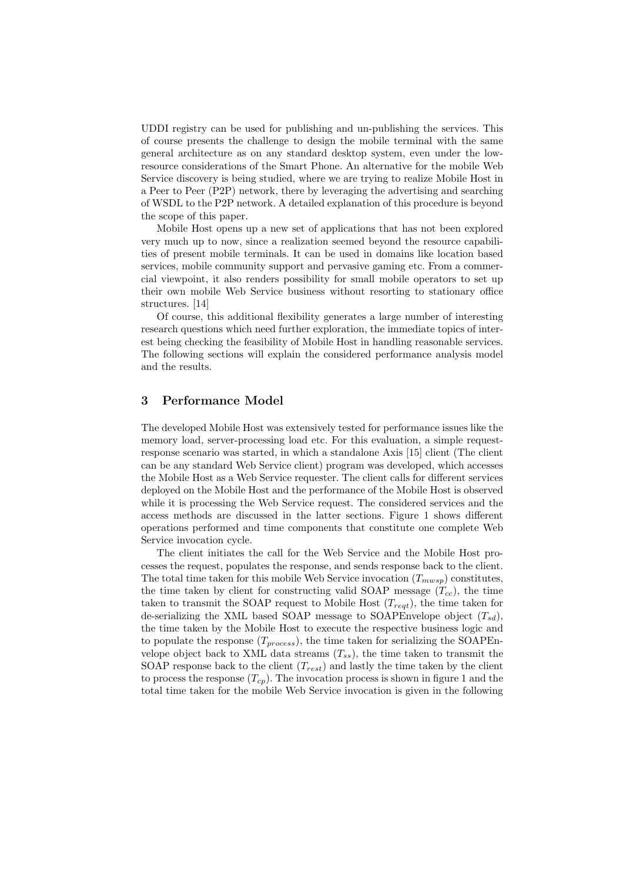UDDI registry can be used for publishing and un-publishing the services. This of course presents the challenge to design the mobile terminal with the same general architecture as on any standard desktop system, even under the lowresource considerations of the Smart Phone. An alternative for the mobile Web Service discovery is being studied, where we are trying to realize Mobile Host in a Peer to Peer (P2P) network, there by leveraging the advertising and searching of WSDL to the P2P network. A detailed explanation of this procedure is beyond the scope of this paper.

Mobile Host opens up a new set of applications that has not been explored very much up to now, since a realization seemed beyond the resource capabilities of present mobile terminals. It can be used in domains like location based services, mobile community support and pervasive gaming etc. From a commercial viewpoint, it also renders possibility for small mobile operators to set up their own mobile Web Service business without resorting to stationary office structures. [14]

Of course, this additional flexibility generates a large number of interesting research questions which need further exploration, the immediate topics of interest being checking the feasibility of Mobile Host in handling reasonable services. The following sections will explain the considered performance analysis model and the results.

## 3 Performance Model

The developed Mobile Host was extensively tested for performance issues like the memory load, server-processing load etc. For this evaluation, a simple requestresponse scenario was started, in which a standalone Axis [15] client (The client can be any standard Web Service client) program was developed, which accesses the Mobile Host as a Web Service requester. The client calls for different services deployed on the Mobile Host and the performance of the Mobile Host is observed while it is processing the Web Service request. The considered services and the access methods are discussed in the latter sections. Figure 1 shows different operations performed and time components that constitute one complete Web Service invocation cycle.

The client initiates the call for the Web Service and the Mobile Host processes the request, populates the response, and sends response back to the client. The total time taken for this mobile Web Service invocation  $(T_{mwsp})$  constitutes, the time taken by client for constructing valid SOAP message  $(T_{cc})$ , the time taken to transmit the SOAP request to Mobile Host  $(T_{req}$ , the time taken for de-serializing the XML based SOAP message to SOAPEnvelope object  $(T_{sd})$ , the time taken by the Mobile Host to execute the respective business logic and to populate the response  $(T_{process})$ , the time taken for serializing the SOAPEnvelope object back to XML data streams  $(T_{ss})$ , the time taken to transmit the SOAP response back to the client  $(T_{rest})$  and lastly the time taken by the client to process the response  $(T_{cp})$ . The invocation process is shown in figure 1 and the total time taken for the mobile Web Service invocation is given in the following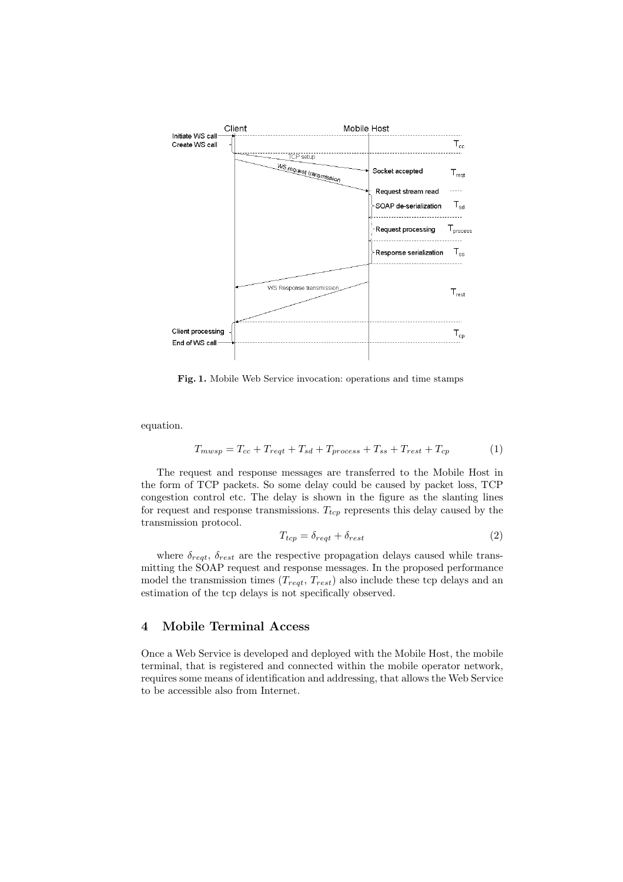

Fig. 1. Mobile Web Service invocation: operations and time stamps

equation.

$$
T_{mwsp} = T_{cc} + T_{reqt} + T_{sd} + T_{process} + T_{ss} + T_{rest} + T_{cp}
$$
\n
$$
\tag{1}
$$

The request and response messages are transferred to the Mobile Host in the form of TCP packets. So some delay could be caused by packet loss, TCP congestion control etc. The delay is shown in the figure as the slanting lines for request and response transmissions.  $T_{top}$  represents this delay caused by the transmission protocol.

$$
T_{tcp} = \delta_{regt} + \delta_{rest} \tag{2}
$$

where  $\delta_{rest}$ ,  $\delta_{rest}$  are the respective propagation delays caused while transmitting the SOAP request and response messages. In the proposed performance model the transmission times  $(T_{rest}, T_{rest})$  also include these tcp delays and an estimation of the tcp delays is not specifically observed.

#### 4 Mobile Terminal Access

Once a Web Service is developed and deployed with the Mobile Host, the mobile terminal, that is registered and connected within the mobile operator network, requires some means of identification and addressing, that allows the Web Service to be accessible also from Internet.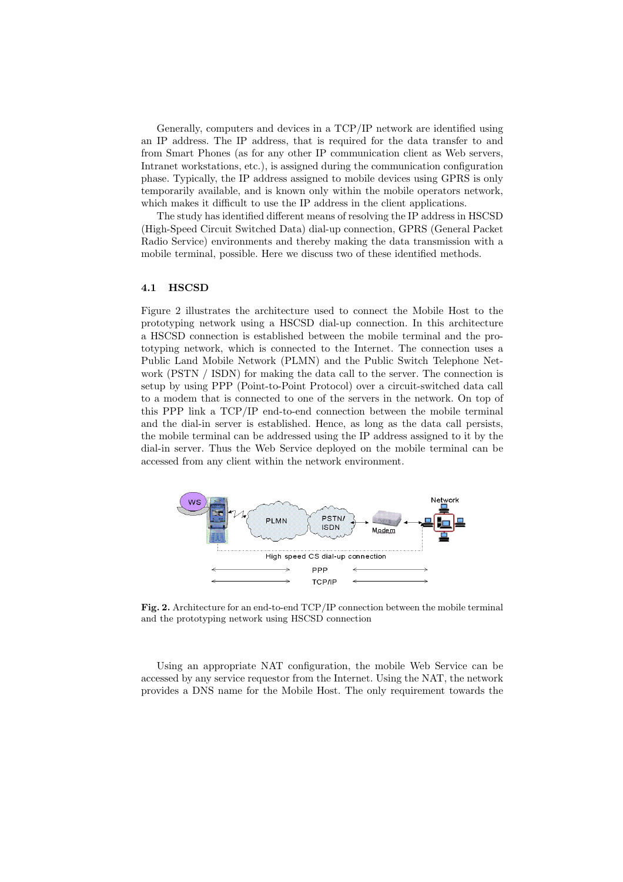Generally, computers and devices in a TCP/IP network are identified using an IP address. The IP address, that is required for the data transfer to and from Smart Phones (as for any other IP communication client as Web servers, Intranet workstations, etc.), is assigned during the communication configuration phase. Typically, the IP address assigned to mobile devices using GPRS is only temporarily available, and is known only within the mobile operators network, which makes it difficult to use the IP address in the client applications.

The study has identified different means of resolving the IP address in HSCSD (High-Speed Circuit Switched Data) dial-up connection, GPRS (General Packet Radio Service) environments and thereby making the data transmission with a mobile terminal, possible. Here we discuss two of these identified methods.

#### 4.1 HSCSD

Figure 2 illustrates the architecture used to connect the Mobile Host to the prototyping network using a HSCSD dial-up connection. In this architecture a HSCSD connection is established between the mobile terminal and the prototyping network, which is connected to the Internet. The connection uses a Public Land Mobile Network (PLMN) and the Public Switch Telephone Network (PSTN / ISDN) for making the data call to the server. The connection is setup by using PPP (Point-to-Point Protocol) over a circuit-switched data call to a modem that is connected to one of the servers in the network. On top of this PPP link a TCP/IP end-to-end connection between the mobile terminal and the dial-in server is established. Hence, as long as the data call persists, the mobile terminal can be addressed using the IP address assigned to it by the dial-in server. Thus the Web Service deployed on the mobile terminal can be accessed from any client within the network environment.



Fig. 2. Architecture for an end-to-end TCP/IP connection between the mobile terminal and the prototyping network using HSCSD connection

Using an appropriate NAT configuration, the mobile Web Service can be accessed by any service requestor from the Internet. Using the NAT, the network provides a DNS name for the Mobile Host. The only requirement towards the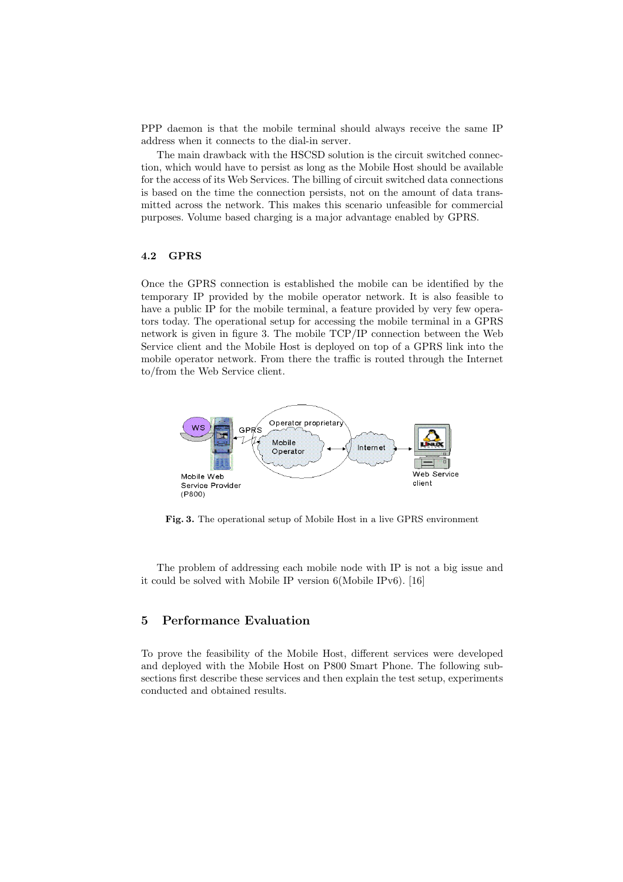PPP daemon is that the mobile terminal should always receive the same IP address when it connects to the dial-in server.

The main drawback with the HSCSD solution is the circuit switched connection, which would have to persist as long as the Mobile Host should be available for the access of its Web Services. The billing of circuit switched data connections is based on the time the connection persists, not on the amount of data transmitted across the network. This makes this scenario unfeasible for commercial purposes. Volume based charging is a major advantage enabled by GPRS.

#### 4.2 GPRS

Once the GPRS connection is established the mobile can be identified by the temporary IP provided by the mobile operator network. It is also feasible to have a public IP for the mobile terminal, a feature provided by very few operators today. The operational setup for accessing the mobile terminal in a GPRS network is given in figure 3. The mobile TCP/IP connection between the Web Service client and the Mobile Host is deployed on top of a GPRS link into the mobile operator network. From there the traffic is routed through the Internet to/from the Web Service client.



Fig. 3. The operational setup of Mobile Host in a live GPRS environment

The problem of addressing each mobile node with IP is not a big issue and it could be solved with Mobile IP version 6(Mobile IPv6). [16]

## 5 Performance Evaluation

To prove the feasibility of the Mobile Host, different services were developed and deployed with the Mobile Host on P800 Smart Phone. The following subsections first describe these services and then explain the test setup, experiments conducted and obtained results.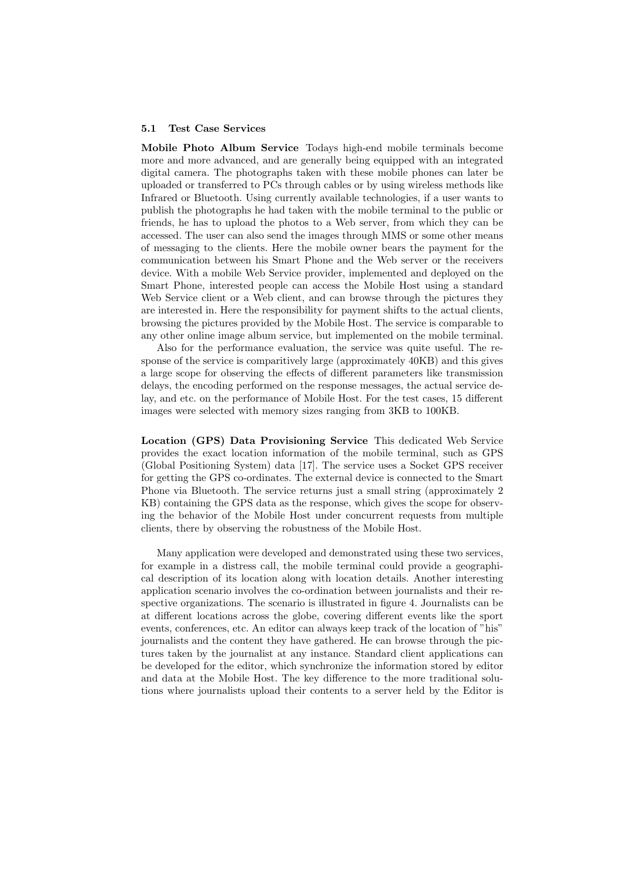#### 5.1 Test Case Services

Mobile Photo Album Service Todays high-end mobile terminals become more and more advanced, and are generally being equipped with an integrated digital camera. The photographs taken with these mobile phones can later be uploaded or transferred to PCs through cables or by using wireless methods like Infrared or Bluetooth. Using currently available technologies, if a user wants to publish the photographs he had taken with the mobile terminal to the public or friends, he has to upload the photos to a Web server, from which they can be accessed. The user can also send the images through MMS or some other means of messaging to the clients. Here the mobile owner bears the payment for the communication between his Smart Phone and the Web server or the receivers device. With a mobile Web Service provider, implemented and deployed on the Smart Phone, interested people can access the Mobile Host using a standard Web Service client or a Web client, and can browse through the pictures they are interested in. Here the responsibility for payment shifts to the actual clients, browsing the pictures provided by the Mobile Host. The service is comparable to any other online image album service, but implemented on the mobile terminal.

Also for the performance evaluation, the service was quite useful. The response of the service is comparitively large (approximately 40KB) and this gives a large scope for observing the effects of different parameters like transmission delays, the encoding performed on the response messages, the actual service delay, and etc. on the performance of Mobile Host. For the test cases, 15 different images were selected with memory sizes ranging from 3KB to 100KB.

Location (GPS) Data Provisioning Service This dedicated Web Service provides the exact location information of the mobile terminal, such as GPS (Global Positioning System) data [17]. The service uses a Socket GPS receiver for getting the GPS co-ordinates. The external device is connected to the Smart Phone via Bluetooth. The service returns just a small string (approximately 2 KB) containing the GPS data as the response, which gives the scope for observing the behavior of the Mobile Host under concurrent requests from multiple clients, there by observing the robustness of the Mobile Host.

Many application were developed and demonstrated using these two services, for example in a distress call, the mobile terminal could provide a geographical description of its location along with location details. Another interesting application scenario involves the co-ordination between journalists and their respective organizations. The scenario is illustrated in figure 4. Journalists can be at different locations across the globe, covering different events like the sport events, conferences, etc. An editor can always keep track of the location of "his" journalists and the content they have gathered. He can browse through the pictures taken by the journalist at any instance. Standard client applications can be developed for the editor, which synchronize the information stored by editor and data at the Mobile Host. The key difference to the more traditional solutions where journalists upload their contents to a server held by the Editor is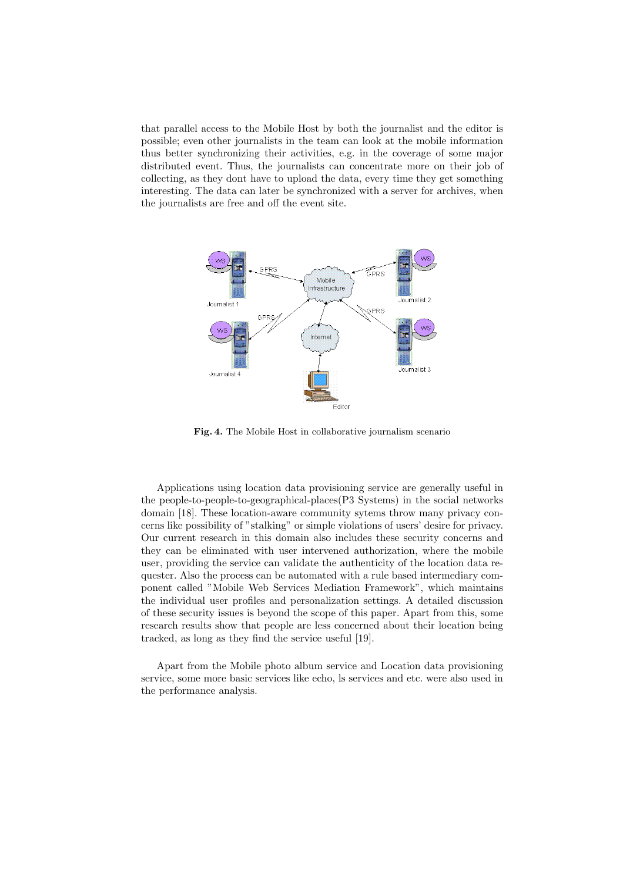that parallel access to the Mobile Host by both the journalist and the editor is possible; even other journalists in the team can look at the mobile information thus better synchronizing their activities, e.g. in the coverage of some major distributed event. Thus, the journalists can concentrate more on their job of collecting, as they dont have to upload the data, every time they get something interesting. The data can later be synchronized with a server for archives, when the journalists are free and off the event site.



Fig. 4. The Mobile Host in collaborative journalism scenario

Applications using location data provisioning service are generally useful in the people-to-people-to-geographical-places(P3 Systems) in the social networks domain [18]. These location-aware community sytems throw many privacy concerns like possibility of "stalking" or simple violations of users' desire for privacy. Our current research in this domain also includes these security concerns and they can be eliminated with user intervened authorization, where the mobile user, providing the service can validate the authenticity of the location data requester. Also the process can be automated with a rule based intermediary component called "Mobile Web Services Mediation Framework", which maintains the individual user profiles and personalization settings. A detailed discussion of these security issues is beyond the scope of this paper. Apart from this, some research results show that people are less concerned about their location being tracked, as long as they find the service useful [19].

Apart from the Mobile photo album service and Location data provisioning service, some more basic services like echo, ls services and etc. were also used in the performance analysis.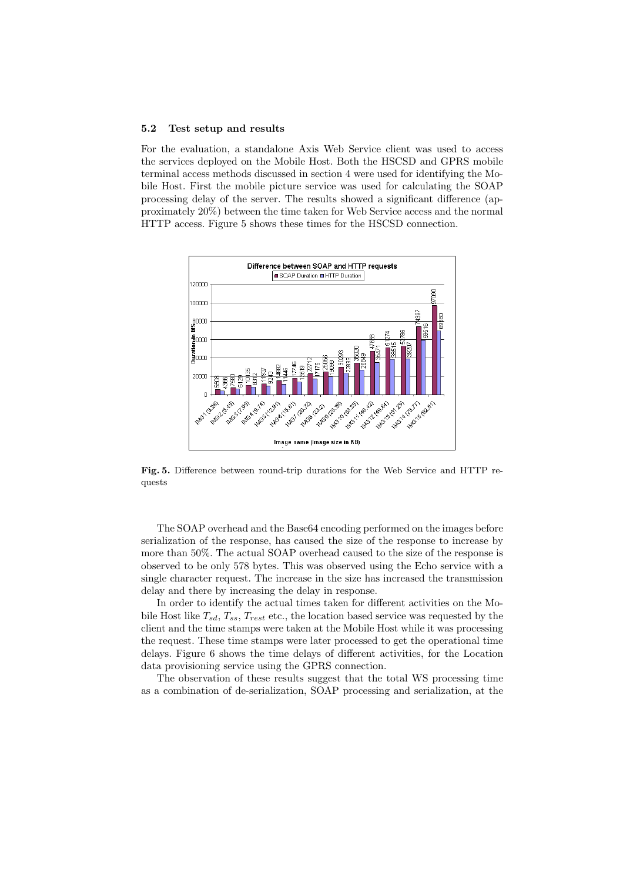#### 5.2 Test setup and results

For the evaluation, a standalone Axis Web Service client was used to access the services deployed on the Mobile Host. Both the HSCSD and GPRS mobile terminal access methods discussed in section 4 were used for identifying the Mobile Host. First the mobile picture service was used for calculating the SOAP processing delay of the server. The results showed a significant difference (approximately 20%) between the time taken for Web Service access and the normal HTTP access. Figure 5 shows these times for the HSCSD connection.



Fig. 5. Difference between round-trip durations for the Web Service and HTTP requests

The SOAP overhead and the Base64 encoding performed on the images before serialization of the response, has caused the size of the response to increase by more than 50%. The actual SOAP overhead caused to the size of the response is observed to be only 578 bytes. This was observed using the Echo service with a single character request. The increase in the size has increased the transmission delay and there by increasing the delay in response.

In order to identify the actual times taken for different activities on the Mobile Host like  $T_{sd}$ ,  $T_{ss}$ ,  $T_{rest}$  etc., the location based service was requested by the client and the time stamps were taken at the Mobile Host while it was processing the request. These time stamps were later processed to get the operational time delays. Figure 6 shows the time delays of different activities, for the Location data provisioning service using the GPRS connection.

The observation of these results suggest that the total WS processing time as a combination of de-serialization, SOAP processing and serialization, at the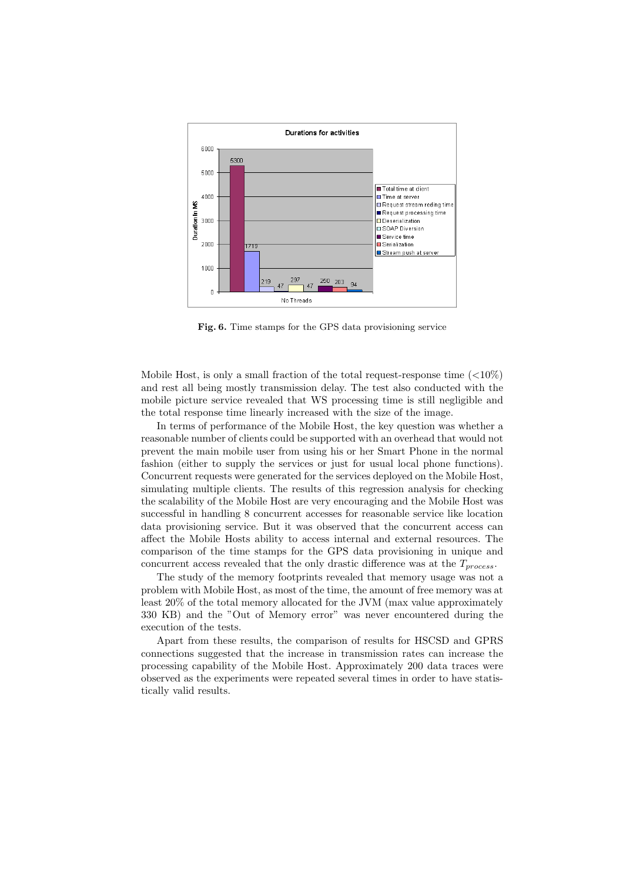

Fig. 6. Time stamps for the GPS data provisioning service

Mobile Host, is only a small fraction of the total request-response time  $(<10\%)$ and rest all being mostly transmission delay. The test also conducted with the mobile picture service revealed that WS processing time is still negligible and the total response time linearly increased with the size of the image.

In terms of performance of the Mobile Host, the key question was whether a reasonable number of clients could be supported with an overhead that would not prevent the main mobile user from using his or her Smart Phone in the normal fashion (either to supply the services or just for usual local phone functions). Concurrent requests were generated for the services deployed on the Mobile Host, simulating multiple clients. The results of this regression analysis for checking the scalability of the Mobile Host are very encouraging and the Mobile Host was successful in handling 8 concurrent accesses for reasonable service like location data provisioning service. But it was observed that the concurrent access can affect the Mobile Hosts ability to access internal and external resources. The comparison of the time stamps for the GPS data provisioning in unique and concurrent access revealed that the only drastic difference was at the  $T_{process}$ .

The study of the memory footprints revealed that memory usage was not a problem with Mobile Host, as most of the time, the amount of free memory was at least 20% of the total memory allocated for the JVM (max value approximately 330 KB) and the "Out of Memory error" was never encountered during the execution of the tests.

Apart from these results, the comparison of results for HSCSD and GPRS connections suggested that the increase in transmission rates can increase the processing capability of the Mobile Host. Approximately 200 data traces were observed as the experiments were repeated several times in order to have statistically valid results.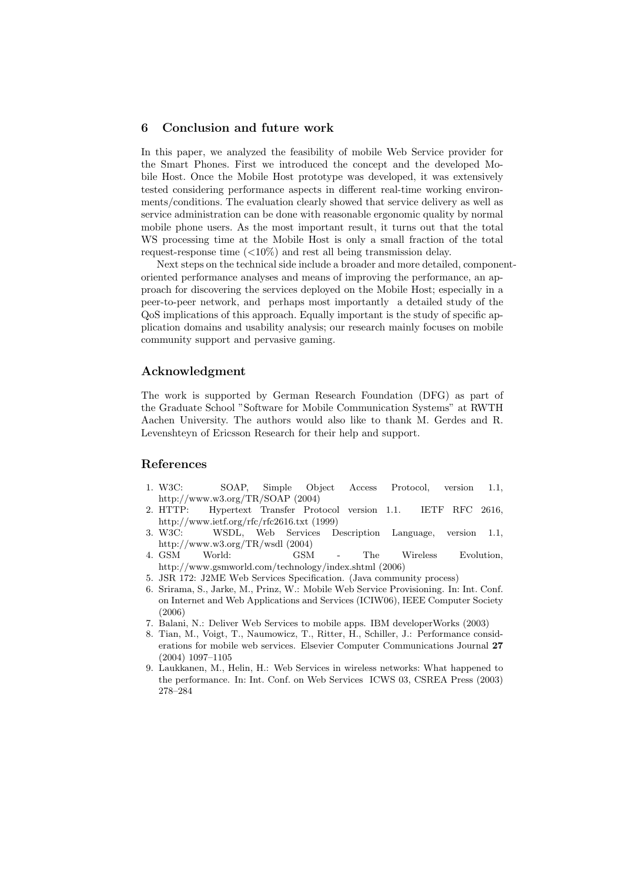#### 6 Conclusion and future work

In this paper, we analyzed the feasibility of mobile Web Service provider for the Smart Phones. First we introduced the concept and the developed Mobile Host. Once the Mobile Host prototype was developed, it was extensively tested considering performance aspects in different real-time working environments/conditions. The evaluation clearly showed that service delivery as well as service administration can be done with reasonable ergonomic quality by normal mobile phone users. As the most important result, it turns out that the total WS processing time at the Mobile Host is only a small fraction of the total request-response time  $\left($  < 10%) and rest all being transmission delay.

Next steps on the technical side include a broader and more detailed, componentoriented performance analyses and means of improving the performance, an approach for discovering the services deployed on the Mobile Host; especially in a peer-to-peer network, and perhaps most importantly a detailed study of the QoS implications of this approach. Equally important is the study of specific application domains and usability analysis; our research mainly focuses on mobile community support and pervasive gaming.

#### Acknowledgment

The work is supported by German Research Foundation (DFG) as part of the Graduate School "Software for Mobile Communication Systems" at RWTH Aachen University. The authors would also like to thank M. Gerdes and R. Levenshteyn of Ericsson Research for their help and support.

#### References

- 1. W3C: SOAP, Simple Object Access Protocol, version 1.1, http://www.w3.org/TR/SOAP (2004)
- 2. HTTP: Hypertext Transfer Protocol version 1.1. IETF RFC 2616, http://www.ietf.org/rfc/rfc2616.txt (1999)<br>3. W3C: WSDL, Web Services Description
- WSDL, Web Services Description Language, version 1.1, http://www.w3.org/TR/wsdl (2004)
- 4. GSM World: GSM The Wireless Evolution, http://www.gsmworld.com/technology/index.shtml (2006)
- 5. JSR 172: J2ME Web Services Specification. (Java community process)
- 6. Srirama, S., Jarke, M., Prinz, W.: Mobile Web Service Provisioning. In: Int. Conf. on Internet and Web Applications and Services (ICIW06), IEEE Computer Society (2006)
- 7. Balani, N.: Deliver Web Services to mobile apps. IBM developerWorks (2003)
- 8. Tian, M., Voigt, T., Naumowicz, T., Ritter, H., Schiller, J.: Performance considerations for mobile web services. Elsevier Computer Communications Journal 27 (2004) 1097–1105
- 9. Laukkanen, M., Helin, H.: Web Services in wireless networks: What happened to the performance. In: Int. Conf. on Web Services ICWS 03, CSREA Press (2003) 278–284